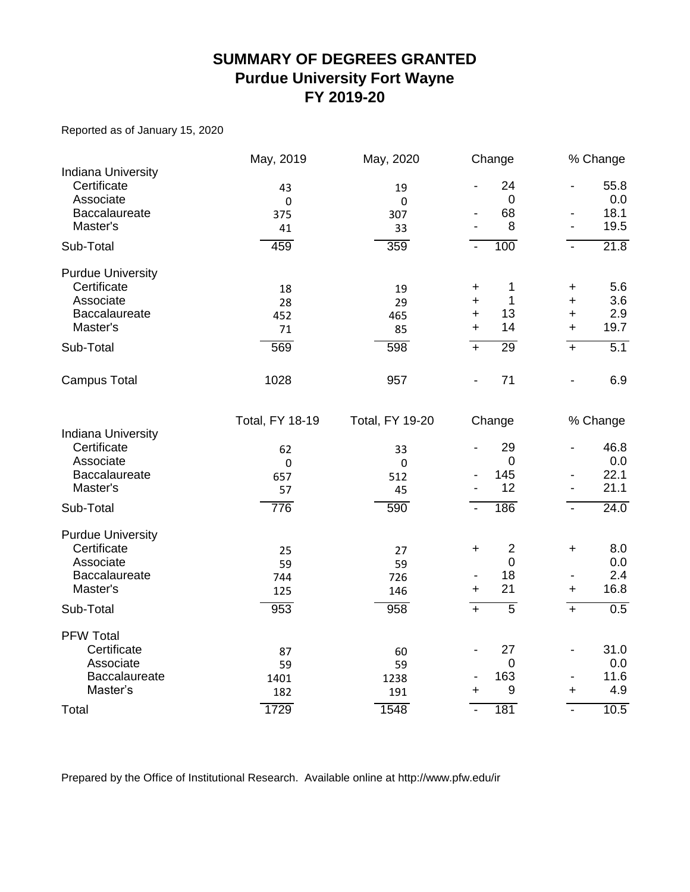#### **SUMMARY OF DEGREES GRANTED Purdue University Fort Wayne FY 2019-20**

Reported as of January 15, 2020

|                                                       | May, 2019              | May, 2020              | Change                      |                              | % Change         |
|-------------------------------------------------------|------------------------|------------------------|-----------------------------|------------------------------|------------------|
| <b>Indiana University</b><br>Certificate<br>Associate | 43<br>$\pmb{0}$        | 19<br>$\pmb{0}$        | 24<br>$\boldsymbol{0}$      | $\frac{1}{2}$                | 55.8<br>0.0      |
| Baccalaureate                                         | 375                    | 307                    | 68                          | $\qquad \qquad \blacksquare$ | 18.1             |
| Master's                                              | 41                     | 33                     | 8                           | $\overline{\phantom{a}}$     | 19.5             |
| Sub-Total                                             | 459                    | 359                    | 100<br>$\blacksquare$       | $\blacksquare$               | 21.8             |
| <b>Purdue University</b>                              |                        |                        |                             |                              |                  |
| Certificate                                           | 18                     | 19                     | 1<br>+                      | +                            | 5.6              |
| Associate                                             | 28                     | 29                     | 1<br>$\ddot{}$              | $\ddot{}$                    | 3.6              |
| Baccalaureate                                         | 452                    | 465                    | 13<br>+                     | $\ddot{}$                    | 2.9              |
| Master's                                              | 71                     | 85                     | 14<br>$\ddot{}$             | $\ddot{}$                    | 19.7             |
| Sub-Total                                             | 569                    | 598                    | 29<br>$+$                   | $+$                          | $\overline{5.1}$ |
| <b>Campus Total</b>                                   | 1028                   | 957                    | 71                          | $\overline{\phantom{a}}$     | 6.9              |
|                                                       | <b>Total, FY 18-19</b> | <b>Total, FY 19-20</b> | Change                      |                              | % Change         |
| <b>Indiana University</b>                             |                        |                        |                             |                              |                  |
| Certificate                                           | 62                     | 33                     | 29<br>$\mathbf 0$           | $\overline{\phantom{0}}$     | 46.8             |
| Associate<br>Baccalaureate                            | $\mathbf 0$            | 0                      | 145                         |                              | 0.0<br>22.1      |
| Master's                                              | 657<br>57              | 512<br>45              | 12                          | $\overline{\phantom{a}}$     | 21.1             |
|                                                       |                        |                        |                             |                              |                  |
| Sub-Total                                             | 776                    | 590                    | 186                         | $\blacksquare$               | 24.0             |
| <b>Purdue University</b>                              |                        |                        |                             |                              |                  |
| Certificate                                           | 25                     | 27                     | $\overline{2}$<br>$\ddot{}$ | $\ddot{}$                    | 8.0              |
| Associate                                             | 59                     | 59                     | $\mathbf 0$                 |                              | 0.0              |
| Baccalaureate                                         | 744                    | 726                    | 18                          | $\overline{\phantom{a}}$     | 2.4              |
| Master's                                              | 125                    | 146                    | 21<br>+                     | $\ddot{}$                    | 16.8             |
| Sub-Total                                             | 953                    | 958                    | 5<br>$\ddot{}$              | $\overline{+}$               | 0.5              |
| <b>PFW Total</b>                                      |                        |                        |                             |                              |                  |
| Certificate                                           | 87                     | 60                     | 27                          | $\overline{\phantom{0}}$     | 31.0             |
| Associate                                             | 59                     | 59                     | $\mathbf 0$                 |                              | 0.0              |
| Baccalaureate                                         | 1401                   | 1238                   | 163                         |                              | 11.6             |
| Master's                                              | 182                    | 191                    | 9<br>$\ddot{}$              | +                            | 4.9              |
| Total                                                 | 1729                   | 1548                   | 181<br>$\blacksquare$       | $\overline{\phantom{a}}$     | 10.5             |

Prepared by the Office of Institutional Research. Available online at http://www.pfw.edu/ir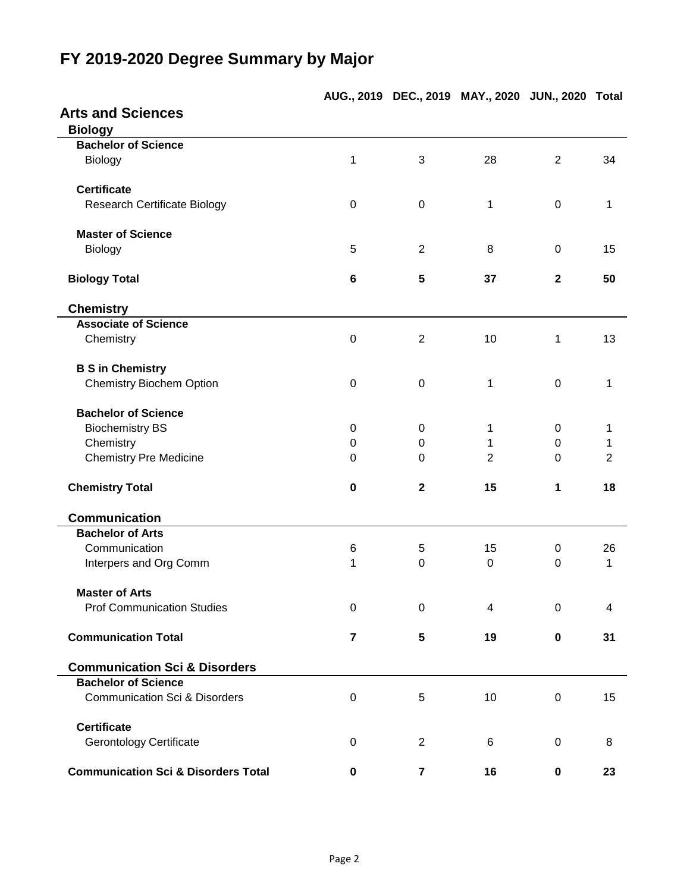## **AUG., 2019 DEC., 2019 MAY., 2020 JUN., 2020 Total Arts and Sciences Biology Bachelor of Science** Biology 1 3 28 2 34 **Certificate** Research Certificate Biology  $0$  0 0 1 0 1 **Master of Science** Biology 5 2 8 0 15 **Biology Total 6 5 37 2 50 Chemistry Associate of Science** Chemistry 13 and 2 10 1 13 **B S in Chemistry** Chemistry Biochem Option **0** 0 0 1 0 1 **Bachelor of Science** Biochemistry BS 0 0 0 1 0 1 Chemistry 0 0 1 0 1 Chemistry Pre Medicine **0** 0 0 2 0 2 2 0 2 **Chemistry Total 0 2 15 1 18 Communication Bachelor of Arts** Communication 6 5 15 0 26 Interpers and Org Comm 1 0 0 0 1 **Master of Arts** Prof Communication Studies  $\begin{array}{cccc} 0 & 0 & 4 & 0 & 4 \end{array}$ **Communication Total 7 5 19 0 31 Communication Sci & Disorders Bachelor of Science** Communication Sci & Disorders 0 5 10 0 15 **Certificate** Gerontology Certificate **18 Contract Contract Contract Contract Contract Contract Contract Contract Contract Contract Contract Contract Contract Contract Contract Contract Contract Contract Contract Contract Contract Contr Communication Sci & Disorders Total 0 7 16 0 23**

### **FY 2019-2020 Degree Summary by Major**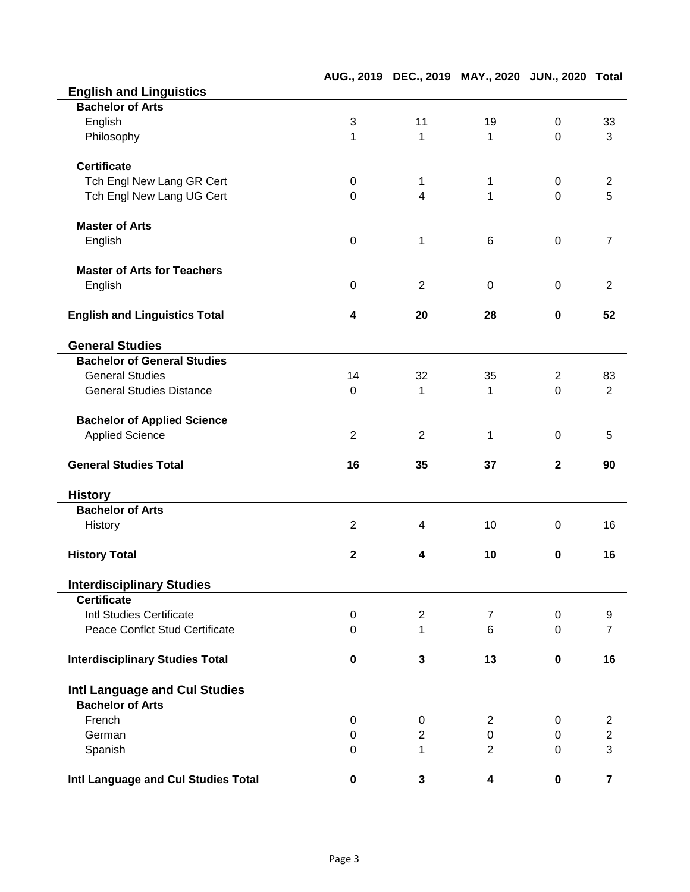|                                        |                |                | AUG., 2019 DEC., 2019 MAY., 2020 JUN., 2020 Total |                |                |
|----------------------------------------|----------------|----------------|---------------------------------------------------|----------------|----------------|
| <b>English and Linguistics</b>         |                |                |                                                   |                |                |
| <b>Bachelor of Arts</b>                |                |                |                                                   |                |                |
| English                                | 3              | 11             | 19                                                | $\mathbf 0$    | 33             |
| Philosophy                             | 1              | 1              | 1                                                 | $\mathbf 0$    | 3              |
| <b>Certificate</b>                     |                |                |                                                   |                |                |
| Tch Engl New Lang GR Cert              | $\mathbf 0$    | 1              | 1                                                 | $\mathbf 0$    | $\overline{c}$ |
| Tch Engl New Lang UG Cert              | $\mathbf 0$    | $\overline{4}$ | 1                                                 | $\mathbf 0$    | 5              |
| <b>Master of Arts</b>                  |                |                |                                                   |                |                |
| English                                | $\mathbf 0$    | 1              | 6                                                 | $\mathbf 0$    | $\overline{7}$ |
| <b>Master of Arts for Teachers</b>     |                |                |                                                   |                |                |
| English                                | 0              | $\overline{2}$ | 0                                                 | 0              | $\overline{2}$ |
| <b>English and Linguistics Total</b>   | 4              | 20             | 28                                                | $\mathbf 0$    | 52             |
| <b>General Studies</b>                 |                |                |                                                   |                |                |
| <b>Bachelor of General Studies</b>     |                |                |                                                   |                |                |
| <b>General Studies</b>                 | 14             | 32             | 35                                                | $\overline{2}$ | 83             |
| <b>General Studies Distance</b>        | $\mathbf 0$    | 1              | 1                                                 | $\mathbf 0$    | $\overline{2}$ |
| <b>Bachelor of Applied Science</b>     |                |                |                                                   |                |                |
| <b>Applied Science</b>                 | $\overline{2}$ | $\overline{2}$ | 1                                                 | 0              | 5              |
| <b>General Studies Total</b>           | 16             | 35             | 37                                                | $\mathbf{2}$   | 90             |
| <b>History</b>                         |                |                |                                                   |                |                |
| <b>Bachelor of Arts</b>                |                |                |                                                   |                |                |
| History                                | $\overline{2}$ | 4              | 10                                                | 0              | 16             |
| <b>History Total</b>                   | $\mathbf{2}$   | 4              | 10                                                | $\mathbf 0$    | 16             |
| <b>Interdisciplinary Studies</b>       |                |                |                                                   |                |                |
| <b>Certificate</b>                     |                |                |                                                   |                |                |
| Intl Studies Certificate               | $\pmb{0}$      | $\overline{2}$ | $\overline{7}$                                    | $\mathbf 0$    | 9              |
| <b>Peace Conflct Stud Certificate</b>  | $\mathbf 0$    | 1              | 6                                                 | $\mathbf 0$    | $\overline{7}$ |
| <b>Interdisciplinary Studies Total</b> | 0              | 3              | 13                                                | $\mathbf 0$    | 16             |
| Intl Language and Cul Studies          |                |                |                                                   |                |                |
| <b>Bachelor of Arts</b>                |                |                |                                                   |                |                |
| French                                 | $\mathbf 0$    | $\mathbf 0$    | 2                                                 | 0              | $\overline{2}$ |
| German                                 | 0              | 2              | 0                                                 | $\mathbf 0$    | $\overline{c}$ |
| Spanish                                | $\mathbf 0$    | 1              | $\overline{2}$                                    | 0              | 3              |
| Intl Language and Cul Studies Total    | 0              | 3              | 4                                                 | $\pmb{0}$      | $\overline{7}$ |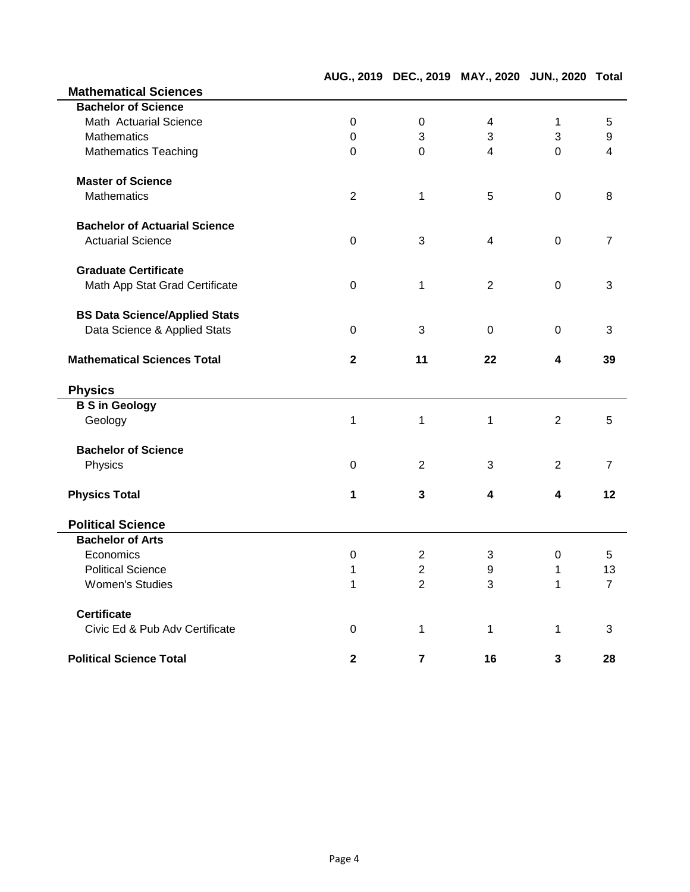|                                      |                |                         | AUG., 2019 DEC., 2019 MAY., 2020 JUN., 2020 Total |                  |                |
|--------------------------------------|----------------|-------------------------|---------------------------------------------------|------------------|----------------|
| <b>Mathematical Sciences</b>         |                |                         |                                                   |                  |                |
| <b>Bachelor of Science</b>           |                |                         |                                                   |                  |                |
| Math Actuarial Science               | $\mathbf 0$    | $\mathbf 0$             | 4                                                 | 1                | 5              |
| <b>Mathematics</b>                   | 0              | 3                       | 3                                                 | 3                | 9              |
| <b>Mathematics Teaching</b>          | $\mathbf 0$    | $\overline{0}$          | $\overline{4}$                                    | $\mathbf 0$      | 4              |
| <b>Master of Science</b>             |                |                         |                                                   |                  |                |
| <b>Mathematics</b>                   | $\overline{2}$ | 1                       | 5                                                 | $\mathbf 0$      | 8              |
| <b>Bachelor of Actuarial Science</b> |                |                         |                                                   |                  |                |
| <b>Actuarial Science</b>             | $\mathbf 0$    | 3                       | 4                                                 | $\mathbf 0$      | $\overline{7}$ |
| <b>Graduate Certificate</b>          |                |                         |                                                   |                  |                |
| Math App Stat Grad Certificate       | 0              | 1                       | $\overline{2}$                                    | $\mathbf 0$      | 3              |
| <b>BS Data Science/Applied Stats</b> |                |                         |                                                   |                  |                |
| Data Science & Applied Stats         | 0              | 3                       | 0                                                 | 0                | 3              |
| <b>Mathematical Sciences Total</b>   | $\overline{2}$ | 11                      | 22                                                | 4                | 39             |
| <b>Physics</b>                       |                |                         |                                                   |                  |                |
| <b>B S in Geology</b>                |                |                         |                                                   |                  |                |
| Geology                              | 1              | 1                       | 1                                                 | 2                | 5              |
| <b>Bachelor of Science</b>           |                |                         |                                                   |                  |                |
| Physics                              | 0              | 2                       | 3                                                 | $\overline{2}$   | $\overline{7}$ |
| <b>Physics Total</b>                 | 1              | $\mathbf{3}$            | 4                                                 | 4                | 12             |
| <b>Political Science</b>             |                |                         |                                                   |                  |                |
| <b>Bachelor of Arts</b>              |                |                         |                                                   |                  |                |
| Economics                            | 0              | $\mathbf{2}$            | 3                                                 | $\boldsymbol{0}$ | 5              |
| <b>Political Science</b>             | 1              | $\overline{\mathbf{c}}$ | 9                                                 | 1                | 13             |
| <b>Women's Studies</b>               | 1              | $\overline{2}$          | 3                                                 | 1                | $\overline{7}$ |
| <b>Certificate</b>                   |                |                         |                                                   |                  |                |
| Civic Ed & Pub Adv Certificate       | $\mathbf 0$    | 1                       | 1                                                 | 1                | 3              |
| <b>Political Science Total</b>       | $\mathbf 2$    | $\overline{\mathbf{r}}$ | 16                                                | 3                | 28             |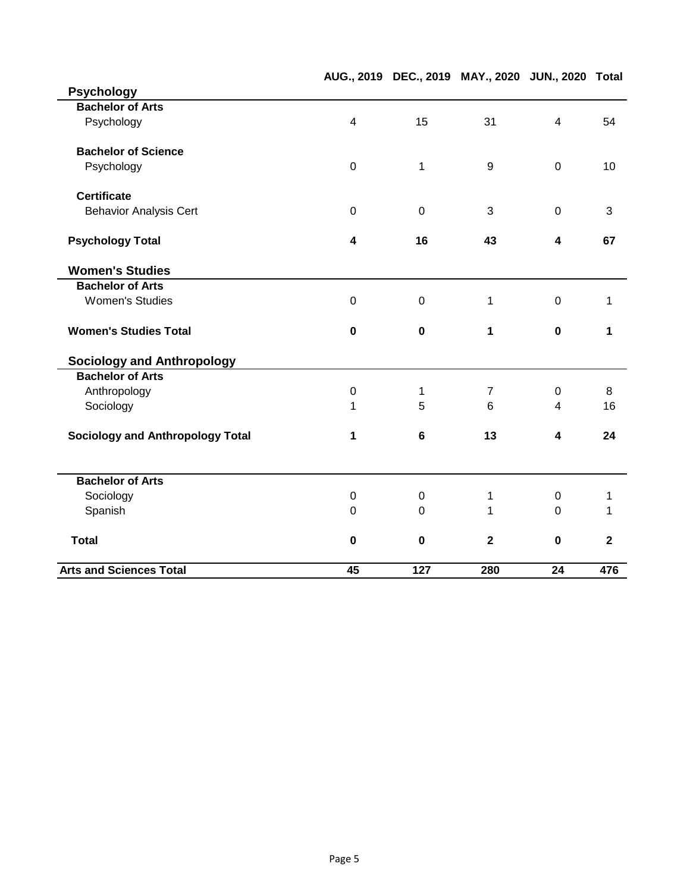|                                         |                  |             | AUG., 2019 DEC., 2019 MAY., 2020 JUN., 2020 Total |                |                         |
|-----------------------------------------|------------------|-------------|---------------------------------------------------|----------------|-------------------------|
| <b>Psychology</b>                       |                  |             |                                                   |                |                         |
| <b>Bachelor of Arts</b>                 |                  |             |                                                   |                |                         |
| Psychology                              | $\overline{4}$   | 15          | 31                                                | $\overline{4}$ | 54                      |
| <b>Bachelor of Science</b>              |                  |             |                                                   |                |                         |
| Psychology                              | $\mathbf 0$      | 1           | 9                                                 | $\mathbf 0$    | 10                      |
| <b>Certificate</b>                      |                  |             |                                                   |                |                         |
| <b>Behavior Analysis Cert</b>           | $\mathbf 0$      | $\mathbf 0$ | 3                                                 | $\mathbf 0$    | 3                       |
| <b>Psychology Total</b>                 | 4                | 16          | 43                                                | 4              | 67                      |
| <b>Women's Studies</b>                  |                  |             |                                                   |                |                         |
| <b>Bachelor of Arts</b>                 |                  |             |                                                   |                |                         |
| <b>Women's Studies</b>                  | $\mathbf 0$      | $\mathbf 0$ | 1                                                 | $\mathbf 0$    | 1                       |
| <b>Women's Studies Total</b>            | $\mathbf 0$      | $\mathbf 0$ | 1                                                 | $\mathbf 0$    | 1                       |
| <b>Sociology and Anthropology</b>       |                  |             |                                                   |                |                         |
| <b>Bachelor of Arts</b>                 |                  |             |                                                   |                |                         |
| Anthropology                            | $\boldsymbol{0}$ | 1           | $\overline{7}$                                    | 0              | 8                       |
| Sociology                               | 1                | 5           | 6                                                 | 4              | 16                      |
| <b>Sociology and Anthropology Total</b> | 1                | $\bf 6$     | 13                                                | 4              | 24                      |
| <b>Bachelor of Arts</b>                 |                  |             |                                                   |                |                         |
| Sociology                               | $\mathbf 0$      | $\mathbf 0$ | 1                                                 | $\mathbf 0$    | 1                       |
| Spanish                                 | $\Omega$         | $\Omega$    | 1                                                 | $\Omega$       | 1                       |
| <b>Total</b>                            | $\mathbf 0$      | $\mathbf 0$ | $\mathbf{2}$                                      | $\mathbf 0$    | $\overline{\mathbf{2}}$ |
| <b>Arts and Sciences Total</b>          | 45               | 127         | 280                                               | 24             | 476                     |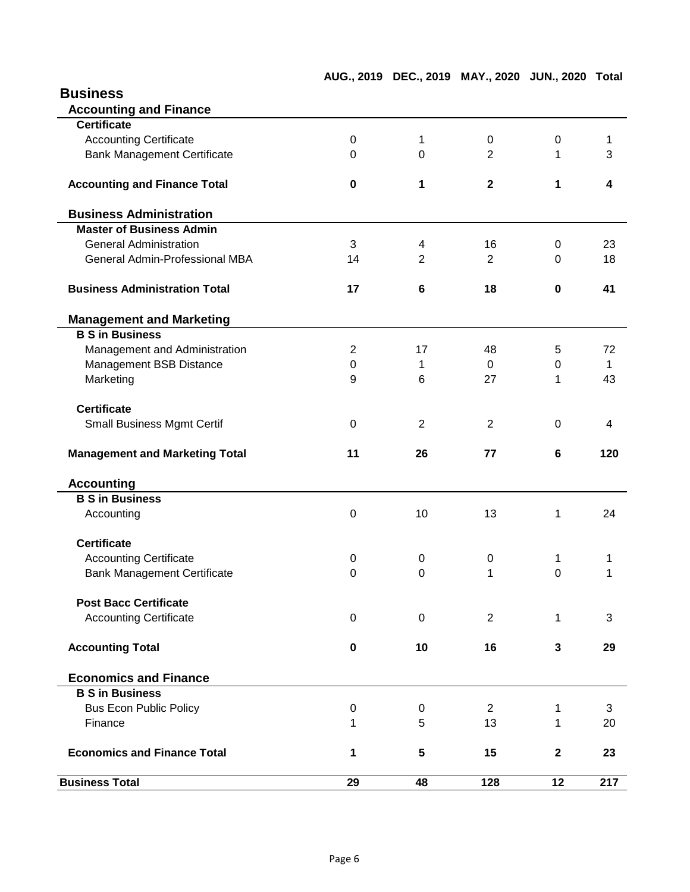| <b>Business</b> |
|-----------------|
|                 |
|                 |

| <b>Accounting and Finance</b>         |                |                |                         |             |     |
|---------------------------------------|----------------|----------------|-------------------------|-------------|-----|
| <b>Certificate</b>                    |                |                |                         |             |     |
| <b>Accounting Certificate</b>         | 0              | 1              | 0                       | 0           | 1   |
| <b>Bank Management Certificate</b>    | 0              | $\Omega$       | 2                       | 1           | 3   |
| <b>Accounting and Finance Total</b>   | $\pmb{0}$      | 1              | $\overline{\mathbf{2}}$ | 1           | 4   |
| <b>Business Administration</b>        |                |                |                         |             |     |
| <b>Master of Business Admin</b>       |                |                |                         |             |     |
| <b>General Administration</b>         | 3              | 4              | 16                      | 0           | 23  |
| General Admin-Professional MBA        | 14             | $\overline{2}$ | $\overline{2}$          | 0           | 18  |
| <b>Business Administration Total</b>  | 17             | 6              | 18                      | $\bf{0}$    | 41  |
| <b>Management and Marketing</b>       |                |                |                         |             |     |
| <b>B S in Business</b>                |                |                |                         |             |     |
| Management and Administration         | $\overline{c}$ | 17             | 48                      | 5           | 72  |
| Management BSB Distance               | $\pmb{0}$      | 1              | 0                       | 0           | 1   |
| Marketing                             | 9              | 6              | 27                      | 1           | 43  |
| <b>Certificate</b>                    |                |                |                         |             |     |
| <b>Small Business Mgmt Certif</b>     | 0              | $\overline{2}$ | $\overline{2}$          | $\Omega$    | 4   |
| <b>Management and Marketing Total</b> | 11             | 26             | 77                      | 6           | 120 |
| <b>Accounting</b>                     |                |                |                         |             |     |
| <b>B S in Business</b>                |                |                |                         |             |     |
| Accounting                            | $\mathbf 0$    | 10             | 13                      | 1           | 24  |
| <b>Certificate</b>                    |                |                |                         |             |     |
| <b>Accounting Certificate</b>         | 0              | 0              | 0                       | 1           | 1   |
| <b>Bank Management Certificate</b>    | $\mathbf 0$    | 0              | 1                       | $\mathbf 0$ | 1   |
| <b>Post Bacc Certificate</b>          |                |                |                         |             |     |
| <b>Accounting Certificate</b>         | $\mathbf 0$    | 0              | $\overline{2}$          | 1           | 3   |
| <b>Accounting Total</b>               | 0              | 10             | 16                      | 3           | 29  |
| <b>Economics and Finance</b>          |                |                |                         |             |     |
| <b>B S in Business</b>                |                |                |                         |             |     |
| <b>Bus Econ Public Policy</b>         | $\pmb{0}$      | 0              | $\overline{2}$          | 1           | 3   |
| Finance                               | 1              | 5              | 13                      | 1           | 20  |
| <b>Economics and Finance Total</b>    | 1              | 5              | 15                      | $\mathbf 2$ | 23  |
| <b>Business Total</b>                 | 29             | 48             | 128                     | 12          | 217 |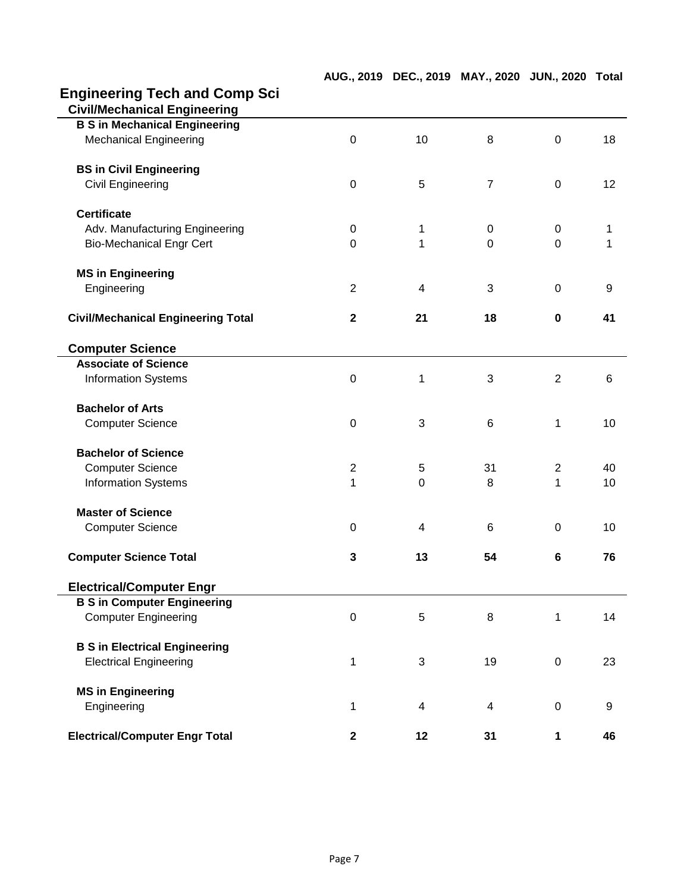# **Engineering Tech and Comp Sci**

| <b>Civil/Mechanical Engineering</b>       |                  |    |                |                  |       |
|-------------------------------------------|------------------|----|----------------|------------------|-------|
| <b>B S in Mechanical Engineering</b>      |                  |    |                |                  |       |
| <b>Mechanical Engineering</b>             | $\mathbf 0$      | 10 | 8              | $\mathbf 0$      | 18    |
| <b>BS in Civil Engineering</b>            |                  |    |                |                  |       |
| <b>Civil Engineering</b>                  | $\boldsymbol{0}$ | 5  | $\overline{7}$ | $\mathbf 0$      | 12    |
| <b>Certificate</b>                        |                  |    |                |                  |       |
| Adv. Manufacturing Engineering            | 0                | 1  | 0              | 0                | 1     |
| <b>Bio-Mechanical Engr Cert</b>           | $\overline{0}$   | 1  | $\mathbf 0$    | $\overline{0}$   | 1     |
| <b>MS in Engineering</b>                  |                  |    |                |                  |       |
| Engineering                               | $\overline{2}$   | 4  | 3              | $\Omega$         | 9     |
| <b>Civil/Mechanical Engineering Total</b> | $\mathbf{2}$     | 21 | 18             | $\mathbf 0$      | 41    |
| <b>Computer Science</b>                   |                  |    |                |                  |       |
| <b>Associate of Science</b>               |                  |    |                |                  |       |
| <b>Information Systems</b>                | $\mathbf 0$      | 1  | 3              | $\overline{2}$   | $\,6$ |
| <b>Bachelor of Arts</b>                   |                  |    |                |                  |       |
| <b>Computer Science</b>                   | $\mathbf 0$      | 3  | 6              | 1                | 10    |
| <b>Bachelor of Science</b>                |                  |    |                |                  |       |
| <b>Computer Science</b>                   | $\overline{2}$   | 5  | 31             | $\overline{2}$   | 40    |
| <b>Information Systems</b>                | 1                | 0  | 8              | 1                | 10    |
| <b>Master of Science</b>                  |                  |    |                |                  |       |
| <b>Computer Science</b>                   | $\mathbf 0$      | 4  | 6              | $\mathbf 0$      | 10    |
| <b>Computer Science Total</b>             | 3                | 13 | 54             | $6\phantom{1}$   | 76    |
| <b>Electrical/Computer Engr</b>           |                  |    |                |                  |       |
| <b>B S in Computer Engineering</b>        |                  |    |                |                  |       |
| <b>Computer Engineering</b>               | $\boldsymbol{0}$ | 5  | 8              | 1                | 14    |
| <b>B S in Electrical Engineering</b>      |                  |    |                |                  |       |
| <b>Electrical Engineering</b>             | 1                | 3  | 19             | $\boldsymbol{0}$ | 23    |
| <b>MS in Engineering</b>                  |                  |    |                |                  |       |
| Engineering                               | 1                | 4  | 4              | $\boldsymbol{0}$ | 9     |
| <b>Electrical/Computer Engr Total</b>     | $\mathbf{2}$     | 12 | 31             | 1                | 46    |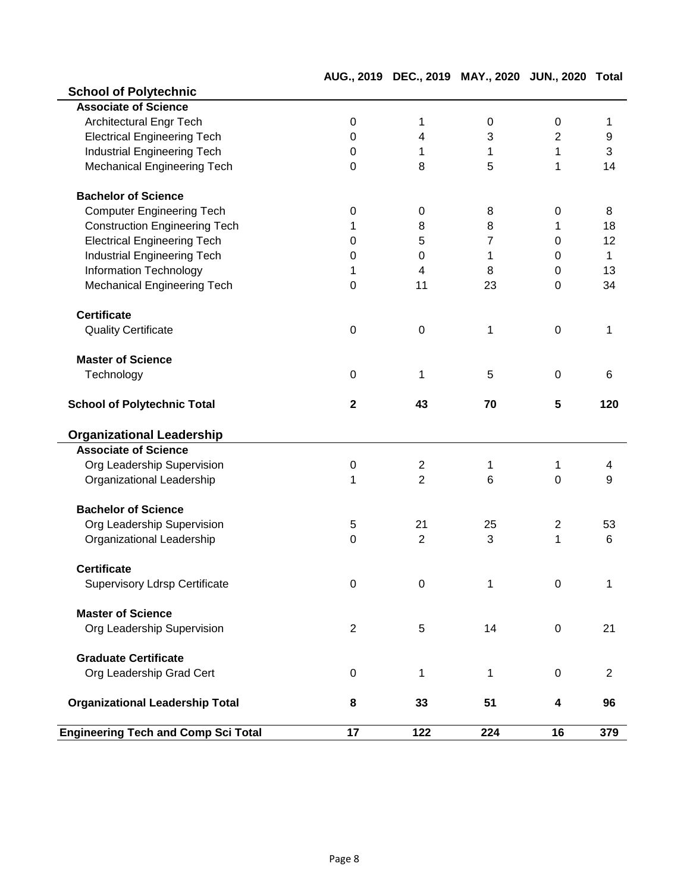**AUG., 2019 DEC., 2019 MAY., 2020 JUN., 2020 Total**

| <b>School of Polytechnic</b>               |                  |                |                |                         |                  |
|--------------------------------------------|------------------|----------------|----------------|-------------------------|------------------|
| <b>Associate of Science</b>                |                  |                |                |                         |                  |
| Architectural Engr Tech                    | $\boldsymbol{0}$ | 1              | 0              | $\mathbf 0$             | 1                |
| <b>Electrical Engineering Tech</b>         | $\Omega$         | 4              | 3              | $\overline{2}$          | $\boldsymbol{9}$ |
| <b>Industrial Engineering Tech</b>         | 0                | 1              | 1              | 1                       | 3                |
| <b>Mechanical Engineering Tech</b>         | 0                | 8              | 5              | 1                       | 14               |
| <b>Bachelor of Science</b>                 |                  |                |                |                         |                  |
| <b>Computer Engineering Tech</b>           | 0                | 0              | 8              | $\mathbf 0$             | 8                |
| <b>Construction Engineering Tech</b>       | 1                | 8              | 8              | 1                       | 18               |
| <b>Electrical Engineering Tech</b>         | $\pmb{0}$        | 5              | $\overline{7}$ | 0                       | 12               |
| <b>Industrial Engineering Tech</b>         | 0                | 0              | 1              | 0                       | $\mathbf{1}$     |
| <b>Information Technology</b>              | 1                | 4              | 8              | 0                       | 13               |
| <b>Mechanical Engineering Tech</b>         | 0                | 11             | 23             | $\mathbf 0$             | 34               |
| <b>Certificate</b>                         |                  |                |                |                         |                  |
| <b>Quality Certificate</b>                 | $\mathbf 0$      | 0              | 1              | $\overline{0}$          | 1                |
| <b>Master of Science</b>                   |                  |                |                |                         |                  |
| Technology                                 | 0                | 1              | 5              | $\overline{0}$          | 6                |
| <b>School of Polytechnic Total</b>         | $\mathbf{2}$     | 43             | 70             | $5\phantom{1}$          | 120              |
| <b>Organizational Leadership</b>           |                  |                |                |                         |                  |
| <b>Associate of Science</b>                |                  |                |                |                         |                  |
| Org Leadership Supervision                 | $\boldsymbol{0}$ | $\mathbf{2}$   | 1              | 1                       | 4                |
| Organizational Leadership                  | 1                | $\overline{2}$ | 6              | $\Omega$                | 9                |
| <b>Bachelor of Science</b>                 |                  |                |                |                         |                  |
| Org Leadership Supervision                 | 5                | 21             | 25             | $\overline{2}$          | 53               |
| Organizational Leadership                  | $\mathbf 0$      | 2              | 3              | 1                       | 6                |
| <b>Certificate</b>                         |                  |                |                |                         |                  |
| Supervisory Ldrsp Certificate              | 0                | 0              | 1              | $\Omega$                | 1                |
| <b>Master of Science</b>                   |                  |                |                |                         |                  |
| Org Leadership Supervision                 | $\overline{2}$   | 5              | 14             | $\mathbf 0$             | 21               |
| <b>Graduate Certificate</b>                |                  |                |                |                         |                  |
| Org Leadership Grad Cert                   | $\pmb{0}$        | 1              | 1              | $\boldsymbol{0}$        | $\overline{2}$   |
| <b>Organizational Leadership Total</b>     | 8                | 33             | 51             | $\overline{\mathbf{4}}$ | 96               |
| <b>Engineering Tech and Comp Sci Total</b> | 17               | 122            | 224            | 16                      | 379              |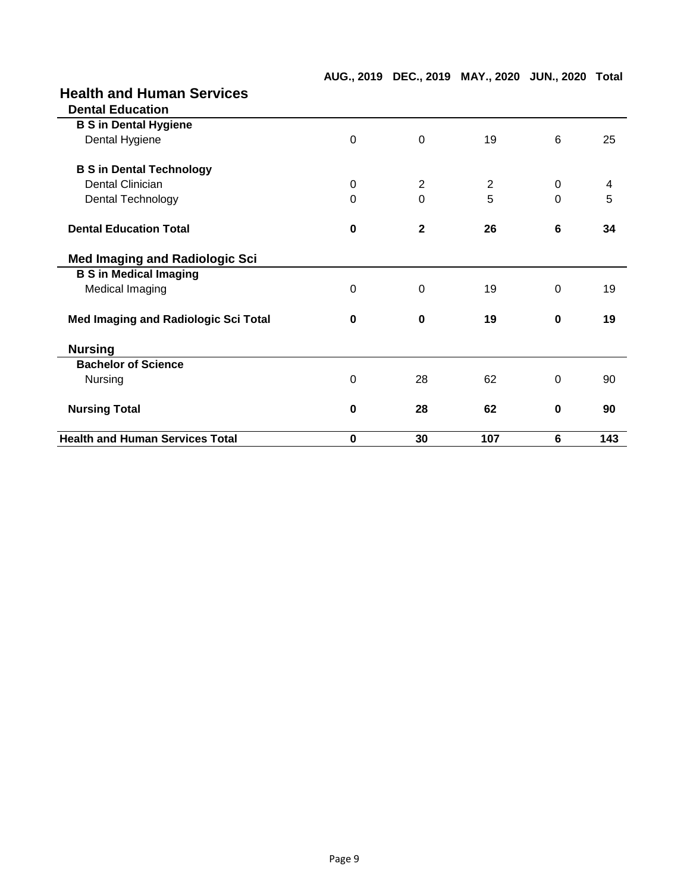## **Health and Human Services**

| <b>Health and Human Services Total</b>      | 0           | 30             | 107 | $6\phantom{1}$ | 143 |
|---------------------------------------------|-------------|----------------|-----|----------------|-----|
| <b>Nursing Total</b>                        | $\bf{0}$    | 28             | 62  | 0              | 90  |
| Nursing                                     | $\Omega$    | 28             | 62  | $\Omega$       | 90  |
| <b>Bachelor of Science</b>                  |             |                |     |                |     |
| <b>Nursing</b>                              |             |                |     |                |     |
| <b>Med Imaging and Radiologic Sci Total</b> | $\bf{0}$    | $\bf{0}$       | 19  | $\bf{0}$       | 19  |
| Medical Imaging                             | $\Omega$    | $\Omega$       | 19  | $\Omega$       | 19  |
| <b>B S in Medical Imaging</b>               |             |                |     |                |     |
| <b>Med Imaging and Radiologic Sci</b>       |             |                |     |                |     |
| <b>Dental Education Total</b>               | $\bf{0}$    | $\mathbf{2}$   | 26  | 6              | 34  |
| Dental Technology                           | $\Omega$    | $\Omega$       | 5   | $\Omega$       | 5   |
| Dental Clinician                            | 0           | $\overline{2}$ | 2   | 0              | 4   |
| <b>B S in Dental Technology</b>             |             |                |     |                |     |
| Dental Hygiene                              | $\mathbf 0$ | 0              | 19  | 6              | 25  |
| <b>B S in Dental Hygiene</b>                |             |                |     |                |     |
| <b>Dental Education</b>                     |             |                |     |                |     |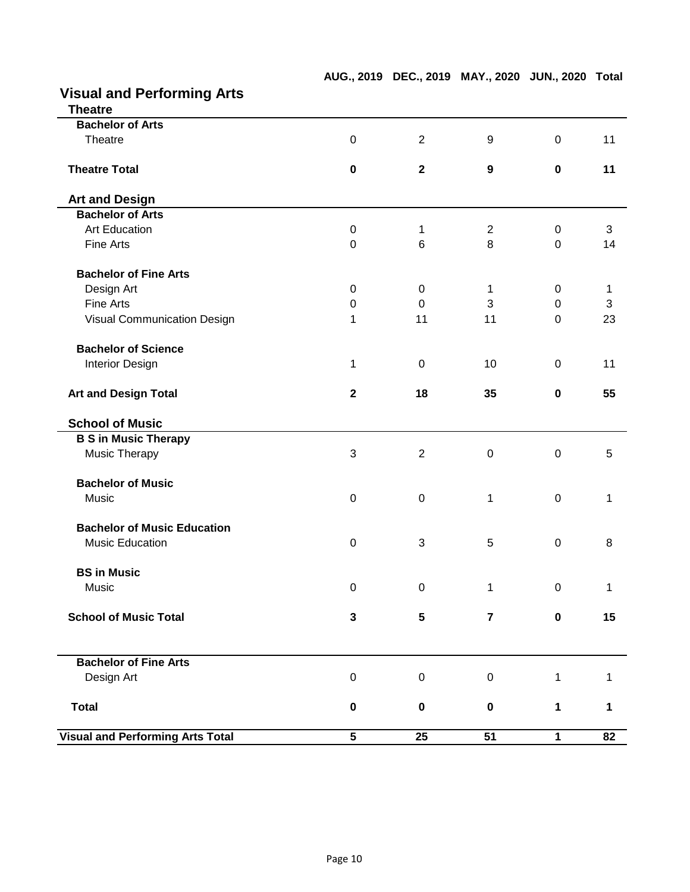| <b>Theatre</b>                          |              |                |                  |                  |              |
|-----------------------------------------|--------------|----------------|------------------|------------------|--------------|
| <b>Bachelor of Arts</b>                 |              |                |                  |                  |              |
| Theatre                                 | $\mathbf 0$  | $\overline{2}$ | 9                | $\mathbf 0$      | 11           |
| <b>Theatre Total</b>                    | $\pmb{0}$    | $\mathbf{2}$   | $\boldsymbol{9}$ | $\mathbf 0$      | 11           |
| <b>Art and Design</b>                   |              |                |                  |                  |              |
| <b>Bachelor of Arts</b>                 |              |                |                  |                  |              |
| <b>Art Education</b>                    | $\mathsf 0$  | 1              | 2                | $\pmb{0}$        | $\mathbf{3}$ |
| Fine Arts                               | $\mathbf 0$  | 6              | 8                | $\mathbf 0$      | 14           |
| <b>Bachelor of Fine Arts</b>            |              |                |                  |                  |              |
| Design Art                              | 0            | $\mathbf 0$    | 1                | $\boldsymbol{0}$ | 1            |
| Fine Arts                               | 0            | $\mathbf 0$    | 3                | $\mathbf 0$      | 3            |
| Visual Communication Design             | 1            | 11             | 11               | $\overline{0}$   | 23           |
| <b>Bachelor of Science</b>              |              |                |                  |                  |              |
| <b>Interior Design</b>                  | 1            | 0              | 10               | $\mathbf 0$      | 11           |
| <b>Art and Design Total</b>             | $\mathbf{2}$ | 18             | 35               | $\mathbf 0$      | 55           |
| <b>School of Music</b>                  |              |                |                  |                  |              |
| <b>B S in Music Therapy</b>             |              |                |                  |                  |              |
| Music Therapy                           | 3            | $\overline{2}$ | $\pmb{0}$        | $\mathbf 0$      | 5            |
| <b>Bachelor of Music</b>                |              |                |                  |                  |              |
| Music                                   | $\pmb{0}$    | $\mathbf 0$    | 1                | $\mathbf 0$      | 1            |
| <b>Bachelor of Music Education</b>      |              |                |                  |                  |              |
| <b>Music Education</b>                  | $\mathbf 0$  | 3              | 5                | $\mathbf 0$      | 8            |
| <b>BS in Music</b>                      |              |                |                  |                  |              |
| Music                                   | $\pmb{0}$    | $\pmb{0}$      | 1                | $\boldsymbol{0}$ | 1            |
| <b>School of Music Total</b>            | 3            | 5              | $\overline{7}$   | $\mathbf 0$      | 15           |
|                                         |              |                |                  |                  |              |
| <b>Bachelor of Fine Arts</b>            |              |                |                  |                  |              |
| Design Art                              | $\pmb{0}$    | $\mathsf 0$    | $\boldsymbol{0}$ | $\mathbf{1}$     | 1            |
| <b>Total</b>                            | $\pmb{0}$    | $\mathbf 0$    | $\mathbf 0$      | 1                | 1            |
| <b>Visual and Performing Arts Total</b> | 5            | 25             | 51               | $\mathbf 1$      | 82           |

**AUG., 2019 DEC., 2019 MAY., 2020 JUN., 2020 Total**

### **Visual and Performing Arts**